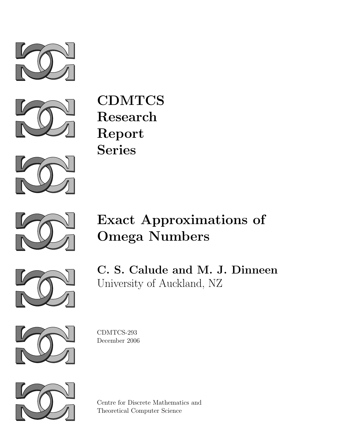



CDMTCS Research Report Series





# Exact Approximations of Omega Numbers



C. S. Calude and M. J. Dinneen University of Auckland, NZ



CDMTCS-293 December 2006



Centre for Discrete Mathematics and Theoretical Computer Science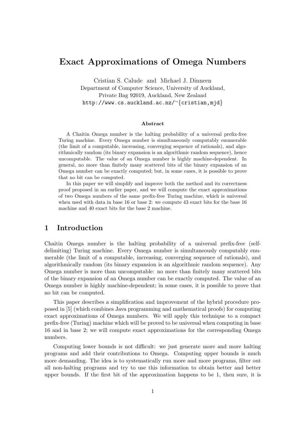# Exact Approximations of Omega Numbers

Cristian S. Calude and Michael J. Dinneen Department of Computer Science, University of Auckland, Private Bag 92019, Auckland, New Zealand http://www.cs.auckland.ac.nz/<sup>∼</sup>{cristian,mjd}

#### Abstract

A Chaitin Omega number is the halting probability of a universal prefix-free Turing machine. Every Omega number is simultaneously computably enumerable (the limit of a computable, increasing, converging sequence of rationals), and algorithmically random (its binary expansion is an algorithmic random sequence), hence uncomputable. The value of an Omega number is highly machine-dependent. In general, no more than finitely many scattered bits of the binary expansion of an Omega number can be exactly computed; but, in some cases, it is possible to prove that no bit can be computed.

In this paper we will simplify and improve both the method and its correctness proof proposed in an earlier paper, and we will compute the exact approximations of two Omega numbers of the same prefix-free Turing machine, which is universal when used with data in base 16 or base 2: we compute 43 exact bits for the base 16 machine and 40 exact bits for the base 2 machine.

### 1 Introduction

Chaitin Omega number is the halting probability of a universal prefix-free (selfdelimiting) Turing machine. Every Omega number is simultaneously computably enumerable (the limit of a computable, increasing, converging sequence of rationals), and algorithmically random (its binary expansion is an algorithmic random sequence). Any Omega number is more than uncomputable: no more than finitely many scattered bits of the binary expansion of an Omega number can be exactly computed. The value of an Omega number is highly machine-dependent; in some cases, it is possible to prove that no bit can be computed.

This paper describes a simplification and improvement of the hybrid procedure proposed in [5] (which combines Java programming and mathematical proofs) for computing exact approximations of Omega numbers. We will apply this technique to a compact prefix-free (Turing) machine which will be proved to be universal when computing in base 16 and in base 2; we will compute exact approximations for the corresponding Omega numbers.

Computing lower bounds is not difficult: we just generate more and more halting programs and add their contributions to Omega. Computing upper bounds is much more demanding. The idea is to systematically run more and more programs, filter out all non-halting programs and try to use this information to obtain better and better upper bounds. If the first bit of the approximation happens to be 1, then sure, it is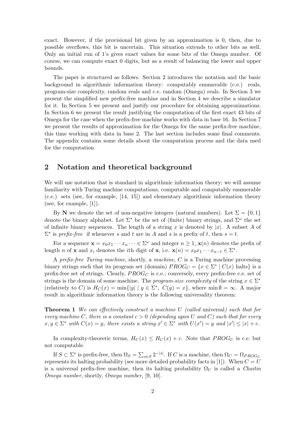exact. However, if the provisional bit given by an approximation is 0, then, due to possible overflows, this bit is uncertain. This situation extends to other bits as well. Only an initial run of 1's gives exact values for some bits of the Omega number. Of course, we can compute exact 0 digits, but as a result of balancing the lower and upper bounds.

The paper is structured as follows. Section 2 introduces the notation and the basic background in algorithmic information theory: computably enumerable (c.e.) reals, program-size complexity, random reals and c.e. random (Omega) reals. In Section 3 we present the simplified new prefix-free machine and in Section 4 we describe a simulator for it. In Section 5 we present and justify our procedure for obtaining approximations. In Section 6 we present the result justifying the computation of the first exact 43 bits of Omega for the case when the prefix-free machine works with data in base 16. In Section 7 we present the results of approximation for the Omega for the same prefix-free machine, this time working with data in base 2. The last section includes some final comments. The appendix contains some details about the computation process and the data used for the computation.

# 2 Notation and theoretical background

We will use notation that is standard in algorithmic information theory; we will assume familiarity with Turing machine computations, computable and computably enumerable (c.e.) sets (see, for example, [14, 15]) and elementary algorithmic information theory (see, for example, [1]).

By N we denote the set of non-negative integers (natural numbers). Let  $\Sigma = \{0, 1\}$ denote the binary alphabet. Let  $\Sigma^*$  be the set of (finite) binary strings, and  $\Sigma^{\omega}$  the set of infinite binary sequences. The length of a string x is denoted by |x|. A subset A of  $\Sigma^*$  is prefix-free if whenever s and t are in A and s is a prefix of t, then  $s = t$ .

For a sequence  $\mathbf{x} = x_0 x_1 \cdots x_n \cdots \in \Sigma^{\omega}$  and integer  $n \geq 1$ ,  $\mathbf{x}(n)$  denotes the prefix of length *n* of **x** and  $x_i$  denotes the *i*th digit of **x**, i.e.  $\mathbf{x}(n) = x_0 x_1 \cdots x_{n-1} \in \Sigma^*$ .

A prefix-free Turing machine, shortly, a machine, C is a Turing machine processing binary strings such that its program set (domain)  $PROG_C = \{x \in \Sigma^* \mid C(x) \text{ halts}\}\$ is a prefix-free set of strings. Clearly,  $PROG<sub>C</sub>$  is c.e.; conversely, every prefix-free c.e. set of strings is the domain of some machine. The *program-size complexity* of the string  $x \in \Sigma^*$ (relatively to C) is  $H_C(x) = \min\{|y| \mid y \in \Sigma^*, C(y) = x\}$ , where  $\min \emptyset = \infty$ . A major result in algorithmic information theory is the following universality theorem:

Theorem 1 We can effectively construct a machine U (called universal) such that for every machine C, there is a constant  $c > 0$  (depending upon U and C) such that for every  $x, y \in \Sigma^*$  with  $C(x) = y$ , there exists a string  $x' \in \Sigma^*$  with  $U(x') = y$  and  $|x'| \leq |x| + c$ .

In complexity-theoretic terms,  $H_U(x) \leq H_C(x) + c$ . Note that  $PROG_U$  is c.e. but not computable.

If  $S \subset \Sigma^*$  is prefix-free, then  $\Omega_S = \sum_{s \in S} 2^{-|s|}$ . If C is a machine, then  $\Omega_C = \Omega_{PROG_C}$ represents its halting probability (see more detailed probability facts in [1]). When  $C = U$ is a universal prefix-free machine, then its halting probability  $\Omega_U$  is called a *Chaitin* Omega number, shortly, Omega number, [9, 10].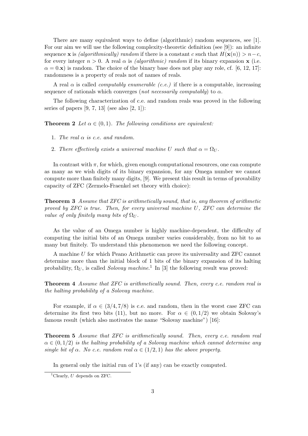There are many equivalent ways to define (algorithmic) random sequences, see [1]. For our aim we will use the following complexity-theoretic definition (see [9]): an infinite sequence x is (algorithmically) random if there is a constant c such that  $H(\mathbf{x}(n)) > n-c$ , for every integer  $n > 0$ . A real  $\alpha$  is *(algorithmic) random* if its binary expansion **x** (i.e.  $\alpha = 0$ . x) is random. The choice of the binary base does not play any role, cf. [6, 12, 17]: randomness is a property of reals not of names of reals.

A real  $\alpha$  is called *computably enumerable (c.e.)* if there is a computable, increasing sequence of rationals which converges (not necessarily computably) to  $\alpha$ .

The following characterization of c.e. and random reals was proved in the following series of papers  $[9, 7, 13]$  (see also  $[2, 1]$ ):

**Theorem 2** Let  $\alpha \in (0,1)$ . The following conditions are equivalent:

- 1. The real  $\alpha$  is c.e. and random.
- 2. There effectively exists a universal machine U such that  $\alpha = \Omega_U$ .

In contrast with  $\pi$ , for which, given enough computational resources, one can compute as many as we wish digits of its binary expansion, for any Omega number we cannot compute more than finitely many digits, [9]. We present this result in terms of provability capacity of ZFC (Zermelo-Fraenkel set theory with choice):

Theorem 3 Assume that ZFC is arithmetically sound, that is, any theorem of arithmetic proved by ZFC is true. Then, for every universal machine U, ZFC can determine the value of only finitely many bits of  $\Omega_U$ .

As the value of an Omega number is highly machine-dependent, the difficulty of computing the initial bits of an Omega number varies considerably, from no bit to as many but finitely. To understand this phenomenon we need the following concept.

A machine U for which Peano Arithmetic can prove its universality and ZFC cannot determine more than the initial block of 1 bits of the binary expansion of its halting probability,  $\Omega_U$ , is called *Solovay machine*.<sup>1</sup> In [3] the following result was proved:

Theorem 4 Assume that ZFC is arithmetically sound. Then, every c.e. random real is the halting probability of a Solovay machine.

For example, if  $\alpha \in (3/4, 7/8)$  is c.e. and random, then in the worst case ZFC can determine its first two bits (11), but no more. For  $\alpha \in (0, 1/2)$  we obtain Solovay's famous result (which also motivates the name "Solovay machine") [16]:

Theorem 5 Assume that ZFC is arithmetically sound. Then, every c.e. random real  $\alpha \in (0, 1/2)$  is the halting probability of a Solovay machine which cannot determine any single bit of  $\alpha$ . No c.e. random real  $\alpha \in (1/2, 1)$  has the above property.

In general only the initial run of 1's (if any) can be exactly computed.

<sup>&</sup>lt;sup>1</sup>Clearly,  $U$  depends on ZFC.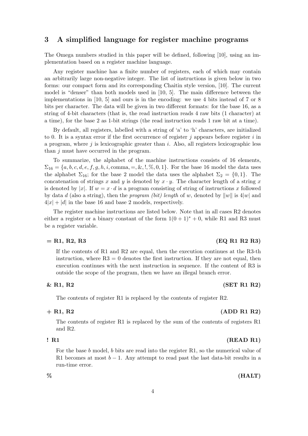# 3 A simplified language for register machine programs

The Omega numbers studied in this paper will be defined, following [10], using an implementation based on a register machine language.

Any register machine has a finite number of registers, each of which may contain an arbitrarily large non-negative integer. The list of instructions is given below in two forms: our compact form and its corresponding Chaitin style version, [10]. The current model is "denser" than both models used in [10, 5]. The main difference between the implementations in [10, 5] and ours is in the encoding: we use 4 bits instead of 7 or 8 bits per character. The data will be given in two different formats: for the base 16, as a string of 4-bit characters (that is, the read instruction reads 4 raw bits (1 character) at a time), for the base 2 as 1-bit strings (the read instruction reads 1 raw bit at a time).

By default, all registers, labelled with a string of 'a' to 'h' characters, are initialized to 0. It is a syntax error if the first occurrence of register  $j$  appears before register  $i$  in a program, where  $j$  is lexicographic greater than  $i$ . Also, all registers lexicographic less than j must have occurred in the program.

To summarize, the alphabet of the machine instructions consists of 16 elements,  $\Sigma_{16} = \{a, b, c, d, e, f, g, h, i, \text{comm}a, =, \&, \., \%, 0, 1\}.$  For the base 16 model the data uses the alphabet  $\Sigma_{16}$ ; for the base 2 model the data uses the alphabet  $\Sigma_2 = \{0, 1\}$ . The concatenation of strings x and y is denoted by  $x \cdot y$ . The character length of a string x is denoted by |x|. If  $w = x \cdot d$  is a program consisting of string of instructions x followed by data d (also a string), then the *program (bit) length* of w, denoted by  $||w||$  is  $4|w|$  and  $4|x| + |d|$  in the base 16 and base 2 models, respectively.

The register machine instructions are listed below. Note that in all cases R2 denotes either a register or a binary constant of the form  $1(0+1)*+0$ , while R1 and R3 must be a register variable.

#### $=$  R1, R2, R3 (EQ R1 R2 R3)

If the contents of R1 and R2 are equal, then the execution continues at the R3-th instruction, where  $R3 = 0$  denotes the first instruction. If they are not equal, then execution continues with the next instruction in sequence. If the content of R3 is outside the scope of the program, then we have an illegal branch error.

#### $\&$  R1, R2 (SET R1 R2)

The contents of register R1 is replaced by the contents of register R2.

#### $+$  R1, R2 (ADD R1 R2)

The contents of register R1 is replaced by the sum of the contents of registers R1 and R2.

#### $\rm R1 \qquad (READ \ R1)$

For the base b model, b bits are read into the register R1, so the numerical value of R1 becomes at most  $b-1$ . Any attempt to read past the last data-bit results in a run-time error.

# %  $(HALT)$

#### 4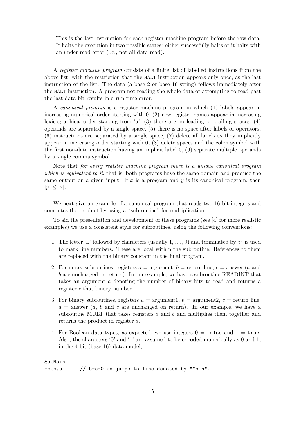This is the last instruction for each register machine program before the raw data. It halts the execution in two possible states: either successfully halts or it halts with an under-read error (i.e., not all data read).

A register machine program consists of a finite list of labelled instructions from the above list, with the restriction that the HALT instruction appears only once, as the last instruction of the list. The data (a base 2 or base 16 string) follows immediately after the HALT instruction. A program not reading the whole data or attempting to read past the last data-bit results in a run-time error.

A canonical program is a register machine program in which (1) labels appear in increasing numerical order starting with  $0$ ,  $(2)$  new register names appear in increasing lexicographical order starting from 'a',  $(3)$  there are no leading or trailing spaces,  $(4)$ operands are separated by a single space, (5) there is no space after labels or operators, (6) instructions are separated by a single space, (7) delete all labels as they implicitly appear in increasing order starting with 0, (8) delete spaces and the colon symbol with the first non-data instruction having an implicit label 0, (9) separate multiple operands by a single comma symbol.

Note that for every register machine program there is a unique canonical program which is equivalent to it, that is, both programs have the same domain and produce the same output on a given input. If x is a program and  $y$  is its canonical program, then  $|y| \leq |x|$ .

We next give an example of a canonical program that reads two 16 bit integers and computes the product by using a "subroutine" for multiplication.

To aid the presentation and development of these programs (see [4] for more realistic examples) we use a consistent style for subroutines, using the following conventions:

- 1. The letter 'L' followed by characters (usually  $1, \ldots, 9$ ) and terminated by ':' is used to mark line numbers. These are local within the subroutine. References to them are replaced with the binary constant in the final program.
- 2. For unary subroutines, registers  $a = \text{argument}, b = \text{return line}, c = \text{answer}$  (a and b are unchanged on return). In our example, we have a subroutine READINT that takes an argument a denoting the number of binary bits to read and returns a register c that binary number.
- 3. For binary subroutines, registers  $a = \text{argument1}, b = \text{argument2}, c = \text{return line}$ ,  $d =$  answer (a, b and c are unchanged on return). In our example, we have a subroutine MULT that takes registers  $a$  and  $b$  and multiplies them together and returns the product in register d.
- 4. For Boolean data types, as expected, we use integers  $0 = \texttt{false}$  and  $1 = \texttt{true}$ . Also, the characters '0' and '1' are assumed to be encoded numerically as 0 and 1, in the 4-bit (base 16) data model,

&a,Main  $=$ b,c,a // b=c=0 so jumps to line denoted by "Main".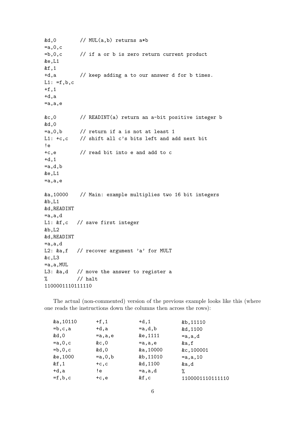&d,0 // MUL(a,b) returns a\*b  $=a,0,c$  $=$ b,0,c // if a or b is zero return current product &e,L1 &f,1 +d,a // keep adding a to our answer d for b times. L1:  $=f$ , b, c  $+f,1$ +d,a =a,a,e &c,0 // READINT(a) return an a-bit positive integer b &d,0  $=a,0,b$  // return if a is not at least 1 L1: +c,c // shift all c's bits left and add next bit !e +c,e // read bit into e and add to c +d,1 =a,d,b &e,L1 =a,a,e &a,10000 // Main: example multiplies two 16 bit integers &b,L1 &d,READINT =a,a,d L1: &f,c // save first integer &b,L2 &d,READINT =a,a,d L2: &a,f // recover argument 'a' for MULT &c,L3 =a,a,MUL L3: &a,d // move the answer to register a % // halt 1100001110111110

The actual (non-commented) version of the previous example looks like this (where one reads the instructions down the columns then across the rows):

| &a, 10110   | $+f,1$           | $+d,1$           | &b, 11110        |
|-------------|------------------|------------------|------------------|
| $=$ b,c,a   | +d,a             | $=a,d,b$         | &d, 1100         |
| &d,0        | $=a$ , $a$ , $e$ | &e, 1111         | $=a$ , a, d      |
| $=a,0,c$    | &c,0             | $=a$ , $a$ , $e$ | &a.f             |
| $= b, 0, c$ | &d,0             | &a,10000         | &c,100001        |
| &e,1000     | $=a, 0, b$       | &b, 11010        | $=a, a, 10$      |
| &f.1        | $+c, c$          | &d, 1100         | &a.d             |
| $+d.a$      | ! e              | $=a$ ,a,d        | %                |
| $=f$ , b, c | $+c.e$           | &f.c             | 1100001110111110 |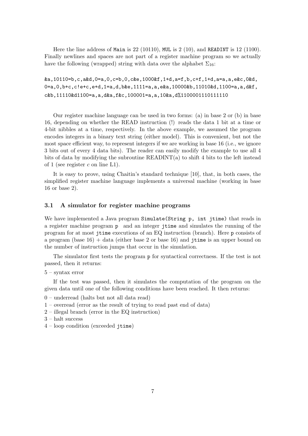Here the line address of Main is 22 (10110), MUL is 2 (10), and READINT is 12 (1100). Finally newlines and spaces are not part of a register machine program so we actually have the following (wrapped) string with data over the alphabet  $\Sigma_{16}$ :

 $k$ a,10110=b,c,a $k$ d,0=a,0,c=b,0,c $k$ e,1000 $kf$ ,1+d,a=f,b,c+f,1+d,a=a,a,e $k$ c,0 $k$ d, 0=a,0,b+c,c!e+c,e+d,1=a,d,b&e,1111=a,a,e&a,10000&b,11010&d,1100=a,a,d&f, c&b,11110&d1100=a,a,d&a,f&c,100001=a,a,10&a,d%1100001110111110

Our register machine language can be used in two forms: (a) in base 2 or (b) in base 16, depending on whether the READ instruction (!) reads the data 1 bit at a time or 4-bit nibbles at a time, respectively. In the above example, we assumed the program encodes integers in a binary text string (either model). This is convenient, but not the most space efficient way, to represent integers if we are working in base 16 (i.e., we ignore 3 bits out of every 4 data bits). The reader can easily modify the example to use all 4 bits of data by modifying the subroutine  $READING(A)$  to shift 4 bits to the left instead of 1 (see register  $c$  on line L1).

It is easy to prove, using Chaitin's standard technique [10], that, in both cases, the simplified register machine language implements a universal machine (working in base 16 or base 2).

#### 3.1 A simulator for register machine programs

We have implemented a Java program Simulate (String p, int jtime) that reads in a register machine program p and an integer jtime and simulates the running of the program for at most jtime executions of an EQ instruction (branch). Here p consists of a program (base  $16$ ) + data (either base 2 or base 16) and jtime is an upper bound on the number of instruction jumps that occur in the simulation.

The simulator first tests the program p for syntactical correctness. If the test is not passed, then it returns:

5 – syntax error

If the test was passed, then it simulates the computation of the program on the given data until one of the following conditions have been reached. It then returns:

- 0 underread (halts but not all data read)
- 1 overread (error as the result of trying to read past end of data)
- 2 illegal branch (error in the EQ instruction)
- 3 halt success
- $4$  loop condition (exceeded jtime)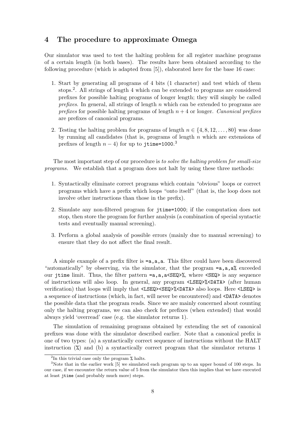# 4 The procedure to approximate Omega

Our simulator was used to test the halting problem for all register machine programs of a certain length (in both bases). The results have been obtained according to the following procedure (which is adapted from [5]), elaborated here for the base 16 case:

- 1. Start by generating all programs of 4 bits (1 character) and test which of them stops.<sup>2</sup> . All strings of length 4 which can be extended to programs are considered prefixes for possible halting programs of longer length; they will simply be called prefixes. In general, all strings of length  $n$  which can be extended to programs are prefixes for possible halting programs of length  $n + 4$  or longer. Canonical prefixes are prefixes of canonical programs.
- 2. Testing the halting problem for programs of length  $n \in \{4, 8, 12, \ldots, 80\}$  was done by running all candidates (that is, programs of length  $n$  which are extensions of prefixes of length  $n-4$ ) for up to jtime=1000.<sup>3</sup>

The most important step of our procedure is to solve the halting problem for small-size programs. We establish that a program does not halt by using these three methods:

- 1. Syntactically eliminate correct programs which contain "obvious" loops or correct programs which have a prefix which loops "onto itself" (that is, the loop does not involve other instructions than those in the prefix).
- 2. Simulate any non-filtered program for jtime=1000; if the computation does not stop, then store the program for further analysis (a combination of special syntactic tests and eventually manual screening).
- 3. Perform a global analysis of possible errors (mainly due to manual screening) to ensure that they do not affect the final result.

A simple example of a prefix filter is  $= a, a, a$ . This filter could have been discovered "automatically" by observing, via the simulator, that the program =**a**,**a**,**a**% exceeded our jtime limit. Thus, the filter pattern  $=a$ ,  $a$ ,  $a$ <SEQ>%, where <SEQ> is any sequence of instructions will also loop. In general, any program <LSEQ>%<DATA> (after human verification) that loops will imply that <LSEQ><SEQ>%<DATA> also loops. Here <LSEQ> is a sequence of instructions (which, in fact, will never be encountered) and <DATA> denotes the possible data that the program reads. Since we are mainly concerned about counting only the halting programs, we can also check for prefixes (when extended) that would always yield 'overread' case (e.g. the simulator returns 1).

The simulation of remaining programs obtained by extending the set of canonical prefixes was done with the simulator described earlier. Note that a canonical prefix is one of two types: (a) a syntactically correct sequence of instructions without the HALT instruction (%) and (b) a syntactically correct program that the simulator returns 1

<sup>&</sup>lt;sup>2</sup>In this trivial case only the program % halts.

<sup>&</sup>lt;sup>3</sup>Note that in the earlier work [5] we simulated each program up to an upper bound of 100 steps. In our case, if we encounter the return value of 5 from the simulator then this implies that we have executed at least jtime (and probably much more) steps.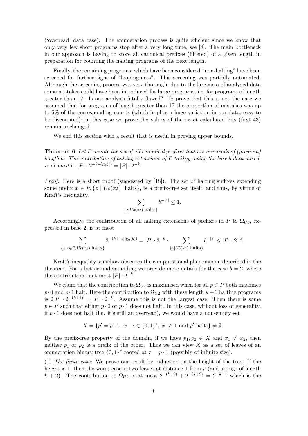('overread' data case). The enumeration process is quite efficient since we know that only very few short programs stop after a very long time, see [8]. The main bottleneck in our approach is having to store all canonical prefixes (filtered) of a given length in preparation for counting the halting programs of the next length.

Finally, the remaining programs, which have been considered "non-halting" have been screened for further signs of "looping-ness". This screening was partially automated. Although the screening process was very thorough, due to the largeness of analyzed data some mistakes could have been introduced for large programs, i.e. for programs of length greater than 17. Is our analysis fatally flawed? To prove that this is not the case we assumed that for programs of length greater than 17 the proportion of mistakes was up to 5% of the corresponding counts (which implies a huge variation in our data, easy to be discounted); in this case we prove the values of the exact calculated bits (first 43) remain unchanged.

We end this section with a result that is useful in proving upper bounds.

**Theorem 6** Let P denote the set of all canonical prefixes that are overreads of (program) length k. The contribution of halting extensions of P to  $\Omega_{Ub}$ , using the base b data model, is at most  $b \cdot |P| \cdot 2^{-k-\lg_2(b)} = |P| \cdot 2^{-k}$ .

*Proof.* Here is a short proof (suggested by  $[18]$ ). The set of halting suffixes extending some prefix  $x \in P$ , {z | Ub(xz) halts}, is a prefix-free set itself, and thus, by virtue of Kraft's inequality,

$$
\sum_{\{z|Ub(xz) \text{ halts}\}} b^{-|z|} \le 1.
$$

Accordingly, the contribution of all halting extensions of prefixes in P to  $\Omega_{Ub}$ , expressed in base 2, is at most

$$
\sum_{\{z|x \in P, Ub(xz) \text{ halts}\}} 2^{-(k+|z| \lg_2(b))} = |P| \cdot 2^{-k} \cdot \sum_{\{z|Ub(xz) \text{ halts}\}} b^{-|z|} \le |P| \cdot 2^{-k}.
$$

Kraft's inequality somehow obscures the computational phenomenon described in the theorem. For a better understanding we provide more details for the case  $b = 2$ , where the contribution is at most  $|P| \cdot 2^{-k}$ .

We claim that the contribution to  $\Omega_{U2}$  is maximised when for all  $p \in P$  both machines  $p \cdot 0$  and  $p \cdot 1$  halt. Here the contribution to  $\Omega_{U2}$  with these length  $k+1$  halting programs is  $2|P| \cdot 2^{-(k+1)} = |P| \cdot 2^{-k}$ . Assume this is not the largest case. Then there is some  $p \in P$  such that either  $p \cdot 0$  or  $p \cdot 1$  does not halt. In this case, without loss of generality, if  $p \cdot 1$  does not halt (i.e. it's still an overread), we would have a non-empty set

$$
X = \{ p' = p \cdot 1 \cdot x \mid x \in \{0, 1\}^*, |x| \ge 1 \text{ and } p' \text{ halts} \} \neq \emptyset.
$$

By the prefix-free property of the domain, if we have  $p_1, p_2 \in X$  and  $x_1 \neq x_2$ , then neither  $p_1$  or  $p_2$  is a prefix of the other. Thus we can view X as a set of leaves of an enumeration binary tree  $\{0,1\}^*$  rooted at  $r = p \cdot 1$  (possibly of infinite size).

(1) The finite case: We prove our result by induction on the height of the tree. If the height is 1, then the worst case is two leaves at distance 1 from  $r$  (and strings of length k + 2). The contribution to  $\Omega_{U2}$  is at most  $2^{-(k+2)} + 2^{-(k+2)} = 2^{-k-1}$  which is the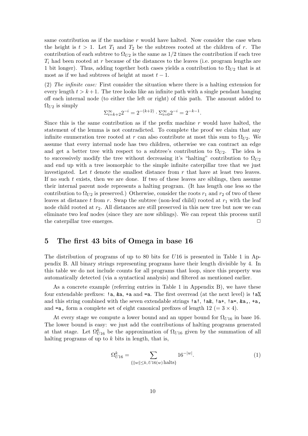same contribution as if the machine  $r$  would have halted. Now consider the case when the height is  $t > 1$ . Let  $T_1$  and  $T_2$  be the subtrees rooted at the children of r. The contribution of each subtree to  $\Omega_{U2}$  is the same as 1/2 times the contribution if each tree  $T_i$  had been rooted at r because of the distances to the leaves (i.e. program lengths are 1 bit longer). Thus, adding together both cases yields a contribution to  $\Omega_{U2}$  that is at most as if we had subtrees of height at most  $t - 1$ .

(2) The infinite case: First consider the situation where there is a halting extension for every length  $t > k + 1$ . The tree looks like an infinite path with a single pendant hanging off each internal node (to either the left or right) of this path. The amount added to  $\Omega_{U2}$  is simply

$$
\sum_{i=k+2}^{\infty} 2^{-i} = 2^{-(k+2)} \cdot \sum_{i=0}^{\infty} 2^{-i} = 2^{-k-1}.
$$

Since this is the same contribution as if the prefix machine  $r$  would have halted, the statement of the lemma is not contradicted. To complete the proof we claim that any infinite enumeration tree rooted at r can also contribute at most this sum to  $\Omega_{U2}$ . We assume that every internal node has two children, otherwise we can contract an edge and get a better tree with respect to a subtree's contribution to  $\Omega_{U2}$ . The idea is to successively modify the tree without decreasing it's "halting" contribution to  $\Omega_{U2}$ and end up with a tree isomorphic to the simple infinite caterpillar tree that we just investigated. Let  $t$  denote the smallest distance from  $r$  that have at least two leaves. If no such  $t$  exists, then we are done. If two of these leaves are siblings, then assume their internal parent node represents a halting program. (It has length one less so the contribution to  $\Omega_{U2}$  is preserved.) Otherwise, consider the roots  $r_1$  and  $r_2$  of two of these leaves at distance t from r. Swap the subtree (non-leaf child) rooted at  $r_1$  with the leaf node child rooted at  $r_2$ . All distances are still preserved in this new tree but now we can eliminate two leaf nodes (since they are now siblings). We can repeat this process until the caterpillar tree emerges.

# 5 The first 43 bits of Omega in base 16

The distribution of programs of up to 80 bits for U16 is presented in Table 1 in Appendix B. All binary strings representing programs have their length divisible by 4. In this table we do not include counts for all programs that loop, since this property was automatically detected (via a syntactical analysis) and filtered as mentioned earlier.

As a concrete example (referring entries in Table 1 in Appendix B), we have these four extendable prefixes: !a, &a, +a and =a. The first overread (at the next level) is !a% and this string combined with the seven extendable strings  $!a!, !a*, !a*, !a=$ ,  $ka, +a,$ and  $=a$ , form a complete set of eight canonical prefixes of length 12 (=  $3 \times 4$ ).

At every stage we compute a lower bound and an upper bound for  $\Omega_{U16}$  in base 16. The lower bound is easy: we just add the contributions of halting programs generated at that stage. Let  $\Omega_{U16}^k$  be the approximation of  $\Omega_{U16}$  given by the summation of all halting programs of up to  $k$  bits in length, that is,

$$
\Omega_{U16}^k = \sum_{\{|w| \le k, U16(w) \text{ halts}\}} 16^{-|w|}.
$$
 (1)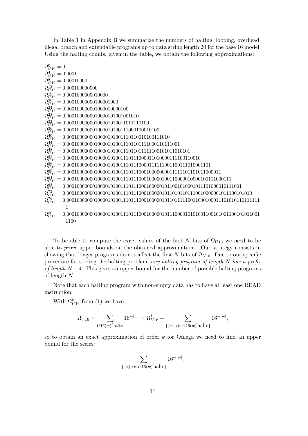In Table 1 in Appendix B we summarize the numbers of halting, looping, overhead, illegal branch and extendable programs up to data string length 20 for the base 16 model. Using the halting counts, given in the table, we obtain the following approximations:

| $\Omega_{II16}^{0} = 0.$                                             |
|----------------------------------------------------------------------|
| $\Omega_{U16}^4 = 0.0001$                                            |
| $\Omega_{II16}^{8} = 0.00010000$                                     |
| $\Omega_{U16}^{12} = 0.000100000000$                                 |
| $\Omega_{II16}^{16} = 0.0001000000010000$                            |
| $\Omega_{II16}^{20} = 0.00010000000100001000$                        |
| $\Omega_{II16}^{24} = 0.000100000001000010000100$                    |
| $\Omega_{U16}^{28} = 0.0001000000010000101001001010$                 |
| $\Omega_{U16}^{32} = 0.00010000000100001010011011110100$             |
| $\Omega_{II16}^{36} = 0.000100000001000010100111000100010100$        |
| $\Omega_{U16}^{40} = 0.000100000001000010100111011001010111010$      |
| $\Omega_{U16}^{44} = 0.00010000000100001010011101101111000110111001$ |
|                                                                      |
|                                                                      |
|                                                                      |
|                                                                      |
|                                                                      |
|                                                                      |
|                                                                      |
|                                                                      |
|                                                                      |
|                                                                      |
| 1100                                                                 |

To be able to compute the exact values of the first N bits of  $\Omega_{U16}$  we need to be able to prove upper bounds on the obtained approximations. Our strategy consists in showing that longer programs do not affect the first N bits of  $\Omega_{U16}$ . Due to our specific procedure for solving the halting problem, any halting program of length N has a prefix of length  $N-4$ . This gives an upper bound for the number of possible halting programs of length N.

Note that each halting program with non-empty data has to have at least one READ instruction.

With  $\Omega_{U16}^k$  from (1) we have:

$$
\Omega_{U16} = \sum_{U16(w) \text{ halts}} 16^{-|w|} = \Omega_{U16}^k + \sum_{\{|x|>k, U16(w) \text{ halts}\}} 16^{-|w|},
$$

so to obtain an exact approximation of order  $k$  for Omega we need to find an upper bound for the series:

$$
\sum_{\{|x||>k, U16(w) \text{ halts}\}} 16^{-|w|}.
$$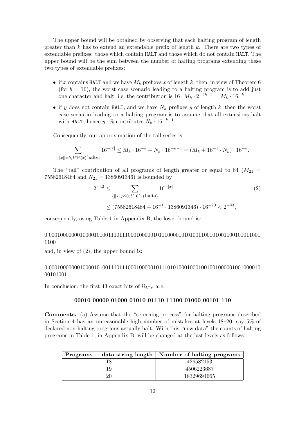The upper bound will be obtained by observing that each halting program of length greater than  $k$  has to extend an extendable prefix of length  $k$ . There are two types of extendable prefixes: those which contain HALT and those which do not contain HALT. The upper bound will be the sum between the number of halting programs extending these two types of extendable prefixes:

- if x contains HALT and we have  $M_k$  prefixes x of length k, then, in view of Theorem 6 (for  $b = 16$ ), the worst case scenario leading to a halting program is to add just one character and halt, i.e. the contribution is  $16 \cdot M_k \cdot 2^{-4k-4} = M_k \cdot 16^{-k}$ ;
- if y does not contain HALT, and we have  $N_k$  prefixes y of length k, then the worst case scenario leading to a halting program is to assume that all extensions halt with HALT, hence  $y \cdot \%$  contributes  $N_k \cdot 16^{-k-1}$ .

Consequently, our approximation of the tail series is:

$$
\sum_{\{|x|>k, U16(x) \text{ halts}\}} 16^{-|x|} \le M_k \cdot 16^{-k} + N_k \cdot 16^{-k-1} = (M_k + 16^{-1} \cdot N_k) \cdot 16^{-k}.
$$

The "tail" contribution of all programs of length greater or equal to 84 ( $M_{21}$  = 75582618484 and  $N_{21} = 1386091346$  is bounded by

$$
2^{-42} \le \sum_{\{||x\|>20, U16(x) \text{ halts}\}} 16^{-|x|}
$$
(2)  

$$
\le (75582618484 + 16^{-1} \cdot 1386091346) \cdot 16^{-20} < 2^{-43},
$$

consequently, using Table 1 in Appendix B, the lower bound is:

0.000100000001000010100111011100010000010111000010101001100101001100101011001 1100

and, in view of (2), the upper bound is:

### 0.000100000001000010100111011100010000010111010100010001001001000001001000010 00101001

In conclusion, the first 43 exact bits of  $\Omega_{U16}$  are:

#### 00010 00000 01000 01010 01110 11100 01000 00101 110

Comments. (a) Assume that the "screening process" for halting programs described in Section 4 has an unreasonable high number of mistakes at levels 18–20, say 5% of declared non-halting programs actually halt. With this "new data" the counts of halting programs in Table 1, in Appendix B, will be changed at the last levels as follows:

| $P_{\text{rograms}} +$ data string length   Number of halting programs |             |
|------------------------------------------------------------------------|-------------|
|                                                                        | 426582153   |
|                                                                        | 4506223687  |
|                                                                        | 18329694665 |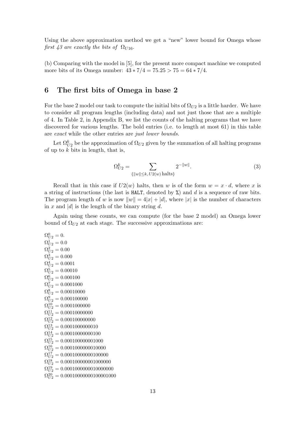Using the above approximation method we get a "new" lower bound for Omega whose first 43 are exactly the bits of  $\Omega_{U16}$ .

(b) Comparing with the model in [5], for the present more compact machine we computed more bits of its Omega number:  $43 \times 7/4 = 75.25 > 75 = 64 \times 7/4$ .

# 6 The first bits of Omega in base 2

For the base 2 model our task to compute the initial bits of  $\Omega_{U2}$  is a little harder. We have to consider all program lengths (including data) and not just those that are a multiple of 4. In Table 2, in Appendix B, we list the counts of the halting programs that we have discovered for various lengths. The bold entries (i.e. to length at most 61) in this table are exact while the other entries are just lower bounds.

Let  $\Omega_{U2}^k$  be the approximation of  $\Omega_{U2}$  given by the summation of all halting programs of up to  $k$  bits in length, that is,

$$
\Omega_{U2}^k = \sum_{\{|w| \le k, U2(w) \text{ halts}\}} 2^{-\|w\|}.
$$
\n(3)

Recall that in this case if  $U2(w)$  halts, then w is of the form  $w = x \cdot d$ , where x is a string of instructions (the last is HALT, denoted by  $\chi$ ) and d is a sequence of raw bits. The program length of w is now  $||w|| = 4|x| + |d|$ , where |x| is the number of characters in x and |d| is the length of the binary string d.

Again using these counts, we can compute (for the base 2 model) an Omega lower bound of  $\Omega_{U2}$  at each stage. The successive approximations are:

 $\Omega_{U2}^0=0.$  $\Omega_{U2}^1=0.0$  $\Omega_{U2}^2 = 0.00$  $\Omega_{U2}^{3} = 0.000$  $\Omega_{U2}^{4} = 0.0001$  $\Omega_{U2}^5 = 0.00010$  $\Omega_{U2}^6 = 0.000100$  $\Omega_{U2}^7 = 0.0001000$  $\Omega_{U2}^8 = 0.00010000$  $\Omega_{U2}^9 = 0.000100000$  $\Omega_{U2}^{10}=0.0001000000$  $\Omega_{U2}^{11} = 0.00010000000$  $\Omega_{U2}^{12} = 0.000100000000$  $\Omega_{U2}^{13} = 0.0001000000010$  $\Omega_{U2}^{14} = 0.00010000000100$  $\Omega_{U2}^{15} = 0.000100000001000$  $\Omega_{U2}^{16} = 0.0001000000010000$  $\Omega_{U2}^{17} = 0.00010000000100000$  $\Omega_{U2}^{18} = 0.000100000001000000$  $\Omega_{U2}^{19} = 0.0001000000010000000$  $\Omega_{U2}^{20} = 0.00010000000100001000$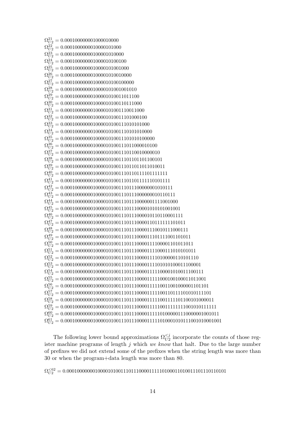| $\Omega_{U2}^{21} = 0.000100000001000010000$                                   |
|--------------------------------------------------------------------------------|
| $\Omega_{U2}^{22} = 0.0001000000010000101000$                                  |
| $\Omega_{U2}^{23} = 0.00010000000100001010000$                                 |
| $\Omega_{U2}^{24} = 0.000100000001000010100100$                                |
| $\Omega_{U2}^{25}=0.0001000000010000101001000$                                 |
| $\Omega_{U2}^{26} = 0.00010000000100001010010000$                              |
| $\Omega_{U2}^{27} = 0.000100000001000010100100000$                             |
| $\Omega_{U2}^{28} = 0.0001000000010000101001001010$                            |
| $\Omega_{II2}^{29} = 0.00010000000100001010011011100$                          |
| $\Omega_{U2}^{30} = 0.000100000001000010100110111000$                          |
| $\Omega_{U2}^{31} = 0.0001000000010000101001110011000$                         |
| $\Omega_{U2}^{32} = 0.00010000000100001010011101000100$                        |
| $\Omega_{U2}^{33} = 0.000100000001000010100111010101000$                       |
| $\Omega_{U2}^{34} = 0.0001000000010000101001110101010000$                      |
| $\Omega_{U2}^{35} = 0.00010000000100001010011101010100000$                     |
| $\Omega_{U2}^{36} = 0.000100000001000010100111011000010100$                    |
| $\Omega_{U2}^{37} = 0.0001000000010000101001110110010000010$                   |
| $\Omega_{U2}^{38} = 0.00010000000100001010011101101101100101$                  |
| $\Omega_{U2}^{39} = 0.000100000001000010100111011011011010011$                 |
|                                                                                |
|                                                                                |
|                                                                                |
| $\Omega_{U2}^{43} = 0.0001000000010000101001110111000000010110111$             |
| $\Omega_{U2}^{44} = 0.00010000000100001010011101110000001111001000$            |
|                                                                                |
|                                                                                |
|                                                                                |
|                                                                                |
|                                                                                |
|                                                                                |
|                                                                                |
|                                                                                |
|                                                                                |
|                                                                                |
| $\Omega_{U2}^{55} = 0.0001000000010000101001110111000011111000100100011011001$ |
|                                                                                |
|                                                                                |
|                                                                                |
|                                                                                |
|                                                                                |
|                                                                                |

The following lower bound approximations  $\Omega_{U2}^{< j}$  incorporate the counts of those register machine programs of length  $j$  which we know that halt. Due to the large number of prefixes we did not extend some of the prefixes when the string length was more than 30 or when the program+data length was more than 80.

Ω <62 <sup>U</sup><sup>2</sup> = 0.00010000000100001010011101110000111110100011010011101110110101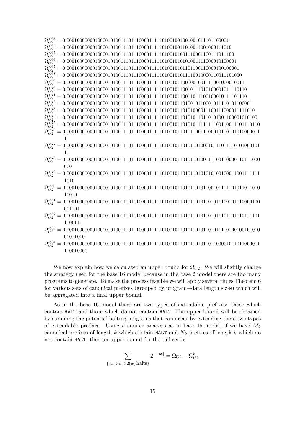Ω <63 <sup>U</sup><sup>2</sup> = 0.000100000001000010100111011100001111101001001001001011101100001 Ω <64 <sup>U</sup><sup>2</sup> = 0.0001000000010000101001110111000011111010010011010011001000111010 Ω <65 <sup>U</sup><sup>2</sup> = 0.00010000000100001010011101110000111110100101001110001100111011100 Ω <66 <sup>U</sup><sup>2</sup> = 0.000100000001000010100111011100001111101001010101001111000010100001 Ω <67 <sup>U</sup><sup>2</sup> = 0.0001000000010000101001110111000011111010010101101100110000100100001 Ω <68 <sup>U</sup><sup>2</sup> = 0.00010000000100001010011101110000111110100101011110010000110011101000 Ω <69 <sup>U</sup><sup>2</sup> = 0.000100000001000010100111011100001111101001011000001001111001000010011 Ω <70 <sup>U</sup><sup>2</sup> = 0.0001000000010000101001110111000011111010010110010111010100001011110110  $\Omega_{\rm D}^{\leq}$ <71 <sup>U</sup><sup>2</sup> = 0.00010000000100001010011101110000111110100101100110111001000101111011101 Ω <72 <sup>U</sup><sup>2</sup> = 0.000100000001000010100111011100001111101001011010010110001011110101100001 Ω <73 <sup>U</sup><sup>2</sup> = 0.0001000000010000101001110111000011111010010110101000011100111000011111010 Ω <74 <sup>U</sup><sup>2</sup> = 0.00010000000100001010011101110000111110100101101010110110101001100001010100 Ω <75 <sup>U</sup><sup>2</sup> = 0.000100000001000010100111011100001111101001011010101111111100110011101110110 Ω <76 <sup>U</sup><sup>2</sup> = 0.000100000001000010100111011100001111101001011010110011100010110101010000011 1 Ω <77 <sup>U</sup><sup>2</sup> = 0.000100000001000010100111011100001111101001011010110100010111011110101000101 11 Ω <78 <sup>U</sup><sup>2</sup> = 0.000100000001000010100111011100001111101001011010110100111100110000110111000 000 Ω <79 <sup>U</sup><sup>2</sup> = 0.000100000001000010100111011100001111101001011010110101010100100011001111111 1010 Ω <80 <sup>U</sup><sup>2</sup> = 0.000100000001000010100111011100001111101001011010110101100101111101011011010 10010 Ω <81 <sup>U</sup><sup>2</sup> = 0.000100000001000010100111011100001111101001011010110101101011100101110000100 001101

- Ω <82 <sup>U</sup><sup>2</sup> = 0.000100000001000010100111011100001111101001011010110101101011101101110111101 1100111
- Ω <83 <sup>U</sup><sup>2</sup> = 0.000100000001000010100111011100001111101001011010110101101011110100100101010 00011010
- Ω <84 <sup>U</sup><sup>2</sup> = 0.000100000001000010100111011100001111101001011010110101101100001011011000011 110010000

We now explain how we calculated an upper bound for  $\Omega_{U2}$ . We will slightly change the strategy used for the base 16 model because in the base 2 model there are too many programs to generate. To make the process feasible we will apply several times Theorem 6 for various sets of canonical prefixes (grouped by program+data length sizes) which will be aggregated into a final upper bound.

As in the base 16 model there are two types of extendable prefixes: those which contain HALT and those which do not contain HALT. The upper bound will be obtained by summing the potential halting programs that can occur by extending these two types of extendable prefixes. Using a similar analysis as in base 16 model, if we have  $M_k$ canonical prefixes of length k which contain HALT and  $N_k$  prefixes of length k which do not contain HALT, then an upper bound for the tail series:

$$
\sum_{\{|x||>k, U2(w) \text{ halts}\}} 2^{-||w||} = \Omega_{U2} - \Omega_{U2}^k
$$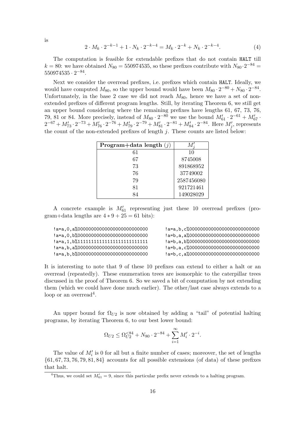is

$$
2 \cdot M_k \cdot 2^{-k-1} + 1 \cdot N_k \cdot 2^{-k-4} = M_k \cdot 2^{-k} + N_k \cdot 2^{-k-4}.
$$
 (4)

The computation is feasible for extendable prefixes that do not contain HALT till  $k = 80$ : we have obtained  $N_{80} = 550974535$ , so these prefixes contribute with  $N_{80} \cdot 2^{-84}$  $550974535 \cdot 2^{-84}.$ 

Next we consider the overread prefixes, i.e. prefixes which contain HALT. Ideally, we would have computed  $M_{80}$ , so the upper bound would have been  $M_{80} \cdot 2^{-80} + N_{80} \cdot 2^{-84}$ . Unfortunately, in the base 2 case we did not reach  $M_{80}$ , hence we have a set of nonextended prefixes of different program lengths. Still, by iterating Theorem 6, we still get an upper bound considering where the remaining prefixes have lengths 61, 67, 73, 76, 79, 81 or 84. More precisely, instead of  $M_{80} \cdot 2^{-80}$  we use the bound  $M'_{61} \cdot 2^{-61} + M'_{67}$ .  $2^{-67} + M_{73}' \cdot 2^{-73} + M_{76}' \cdot 2^{-76} + M_{79}' \cdot 2^{-79} + M_{81}' \cdot 2^{-81} + M_{84}' \cdot 2^{-84}$ . Here  $M_j'$ , represents the count of the non-extended prefixes of length  $j$ . These counts are listed below:

| <b>Program+data length</b> $(j)$ | M'.        |
|----------------------------------|------------|
| 61                               | 10         |
| 67                               | 8745008    |
| 73                               | 891868952  |
| 76                               | 37749002   |
| 79                               | 2587456080 |
| 81                               | 921721461  |
|                                  | 149028029  |

A concrete example is  $M'_{61}$  representing just these 10 overread prefixes (program+data lengths are  $4 * 9 + 25 = 61$  bits):

It is interesting to note that 9 of these 10 prefixes can extend to either a halt or an overread (repeatedly). These enumeration trees are isomorphic to the caterpillar trees discussed in the proof of Theorem 6. So we saved a bit of computation by not extending them (which we could have done much earlier). The other/last case always extends to a loop or an overread<sup>4</sup>.

An upper bound for  $\Omega_{U2}$  is now obtained by adding a "tail" of potential halting programs, by iterating Theorem 6, to our best lower bound:

$$
\Omega_{U2} \le \Omega_{U2}^{< 84} + N_{80} \cdot 2^{-84} + \sum_{i=1}^{\infty} M'_i \cdot 2^{-i}.
$$

The value of  $M_i'$  is 0 for all but a finite number of cases; moreover, the set of lengths  $\{61, 67, 73, 76, 79, 81, 84\}$  accounts for all possible extensions (of data) of these prefixes that halt.

<sup>&</sup>lt;sup>4</sup>Thus, we could set  $M'_{61} = 9$ , since this particular prefix never extends to a halting program.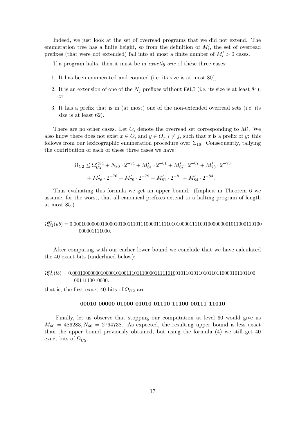Indeed, we just look at the set of overread programs that we did not extend. The enumeration tree has a finite height, so from the definition of  $M_i'$ , the set of overread prefixes (that were not extended) fall into at most a finite number of  $M_i' > 0$  cases.

If a program halts, then it must be in *exactly one* of these three cases:

- 1. It has been enumerated and counted (i.e. its size is at most 80),
- 2. It is an extension of one of the  $N_i$  prefixes without HALT (i.e. its size is at least 84), or
- 3. It has a prefix that is in (at most) one of the non-extended overread sets (i.e. its size is at least 62).

There are no other cases. Let  $O_i$  denote the overread set corresponding to  $M'_i$ . We also know there does not exist  $x \in O_i$  and  $y \in O_j$ ,  $i \neq j$ , such that x is a prefix of y: this follows from our lexicographic enumeration procedure over  $\Sigma_{16}$ . Consequently, tallying the contribution of each of these three cases we have:

$$
\Omega_{U2} \leq \Omega_{U2}^{<84} + N_{80} \cdot 2^{-84} + M_{61}' \cdot 2^{-61} + M_{67}' \cdot 2^{-67} + M_{73}' \cdot 2^{-73}
$$

$$
+ M_{76}' \cdot 2^{-76} + M_{79}' \cdot 2^{-79} + M_{81}' \cdot 2^{-81} + M_{84}' \cdot 2^{-84}.
$$

Thus evaluating this formula we get an upper bound. (Implicit in Theorem 6 we assume, for the worst, that all canonical prefixes extend to a halting program of length at most 85.)

### Ω 85 U2 (ub) = 0.0001000000010000101001110111000011111010100001111001000000001011000110100 000001111000.

After comparing with our earlier lower bound we conclude that we have calculated the 40 exact bits (underlined below):

#### Ω 84 U2 (lb) = 0.00010000000100001010011101110000111110100101101011010110110000101101100 0011110010000.

that is, the first exact 40 bits of  $\Omega_{U2}$  are

#### 00010 00000 01000 01010 01110 11100 00111 11010

Finally, let us observe that stopping our computation at level 60 would give us  $M_{60} = 486283, N_{60} = 2764738$ . As expected, the resulting upper bound is less exact than the upper bound previously obtained, but using the formula (4) we still get 40 exact bits of  $\Omega_{U2}$ .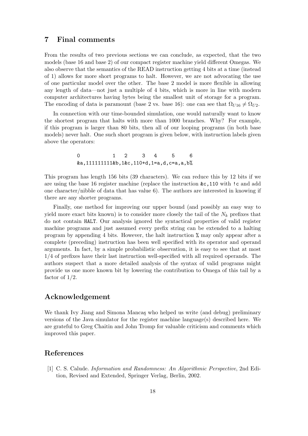# 7 Final comments

From the results of two previous sections we can conclude, as expected, that the two models (base 16 and base 2) of our compact register machine yield different Omegas. We also observe that the semantics of the READ instruction getting 4 bits at a time (instead of 1) allows for more short programs to halt. However, we are not advocating the use of one particular model over the other. The base 2 model is more flexible in allowing any length of data—not just a multiple of 4 bits, which is more in line with modern computer architectures having bytes being the smallest unit of storage for a program. The encoding of data is paramount (base 2 vs. base 16): one can see that  $\Omega_{U16} \neq \Omega_{U2}$ .

In connection with our time-bounded simulation, one would naturally want to know the shortest program that halts with more than 1000 branches. Why? For example, if this program is larger than 80 bits, then all of our looping programs (in both base models) never halt. One such short program is given below, with instruction labels given above the operators:

> 0 1 2 3 4 5 6 &a,111111111&b,1&c,110+d,1=a,d,c=a,a,b%

This program has length 156 bits (39 characters). We can reduce this by 12 bits if we are using the base 16 register machine (replace the instruction &c,110 with !c and add one character/nibble of data that has value 6). The authors are interested in knowing if there are any shorter programs.

Finally, one method for improving our upper bound (and possibly an easy way to yield more exact bits known) is to consider more closely the tail of the  $N_k$  prefixes that do not contain HALT. Our analysis ignored the syntactical properties of valid register machine programs and just assumed every prefix string can be extended to a halting program by appending 4 bits. However, the halt instruction % may only appear after a complete (preceding) instruction has been well specified with its operator and operand arguments. In fact, by a simple probabilistic observation, it is easy to see that at most 1/4 of prefixes have their last instruction well-specified with all required operands. The authors suspect that a more detailed analysis of the syntax of valid programs might provide us one more known bit by lowering the contribution to Omega of this tail by a factor of  $1/2$ .

# Acknowledgement

We thank Ivy Jiang and Simona Mancas who helped us write (and debug) preliminary versions of the Java simulator for the register machine language(s) described here. We are grateful to Greg Chaitin and John Tromp for valuable criticism and comments which improved this paper.

# References

[1] C. S. Calude. Information and Randomness: An Algorithmic Perspective, 2nd Edition, Revised and Extended, Springer Verlag, Berlin, 2002.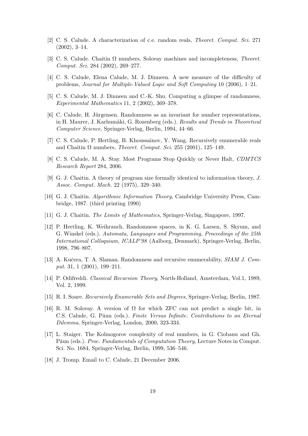- [2] C. S. Calude. A characterization of c.e. random reals, Theoret. Comput. Sci. 271 (2002), 3–14.
- [3] C. S. Calude. Chaitin  $\Omega$  numbers, Solovay machines and incompleteness, Theoret. Comput. Sci. 284 (2002), 269–277.
- [4] C. S. Calude, Elena Calude, M. J. Dinneen. A new measure of the difficulty of problems, Journal for Multiple-Valued Logic and Soft Computing 10 (2006), 1–21.
- [5] C. S. Calude, M. J. Dinneen and C.-K. Shu. Computing a glimpse of randomness, Experimental Mathematics 11, 2 (2002), 369–378.
- [6] C. Calude, H. Jürgensen. Randomness as an invariant for number representations, in H. Maurer, J. Karhumäki, G. Rozenberg (eds.). Results and Trends in Theoretical Computer Science, Springer-Verlag, Berlin, 1994, 44–66.
- [7] C. S. Calude, P. Hertling, B. Khoussainov, Y. Wang. Recursively enumerable reals and Chaitin  $\Omega$  numbers, *Theoret. Comput. Sci.* 255 (2001), 125–149.
- [8] C. S. Calude, M. A. Stay. Most Programs Stop Quickly or Never Halt, CDMTCS Research Report 284, 2006.
- [9] G. J. Chaitin. A theory of program size formally identical to information theory, J. Assoc. Comput. Mach. 22 (1975), 329–340.
- [10] G. J. Chaitin. Algorithmic Information Theory, Cambridge University Press, Cambridge, 1987. (third printing 1990)
- [11] G. J. Chaitin. The Limits of Mathematics, Springer-Verlag, Singapore, 1997.
- [12] P. Hertling, K. Weihrauch. Randomness spaces, in K. G. Larsen, S. Skyum, and G. Winskel (eds.). Automata, Languages and Programming, Proceedings of the 25th International Colloquium, ICALP'98 (Aalborg, Denmark), Springer-Verlag, Berlin, 1998, 796–807.
- [13] A. Kučera, T. A. Slaman. Randomness and recursive enumerability, SIAM J. Comput. 31, 1 (2001), 199–211.
- [14] P. Odifreddi. Classical Recursion Theory, North-Holland, Amsterdam, Vol.1, 1989, Vol. 2, 1999.
- [15] R. I. Soare. Recursively Enumerable Sets and Degrees, Springer-Verlag, Berlin, 1987.
- [16] R. M. Solovay. A version of  $\Omega$  for which ZFC can not predict a single bit, in C.S. Calude, G. Păun (eds.). Finite Versus Infinite. Contributions to an Eternal Dilemma, Springer-Verlag, London, 2000, 323-334.
- [17] L. Staiger. The Kolmogorov complexity of real numbers, in G. Ciobanu and Gh. Păun (eds.). Proc. Fundamentals of Computation Theory, Lecture Notes in Comput. Sci. No. 1684, Springer-Verlag, Berlin, 1999, 536–546.
- [18] J. Tromp. Email to C. Calude, 21 December 2006.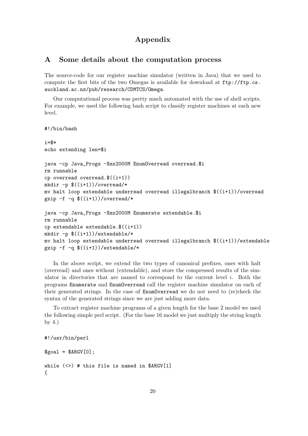# Appendix

# A Some details about the computation process

The source-code for our register machine simulator (written in Java) that we used to compute the first bits of the two Omegas is available for download at ftp://ftp.cs. auckland.ac.nz/pub/research/CDMTCS/Omega.

Our computational process was pretty much automated with the use of shell scripts. For example, we used the following bash script to classify register machines at each new level.

#!/bin/bash

```
i=$*
echo extending len=$i
java -cp Java_Progs -Xmx2000M EnumOverread overread.$i
rm runnable
cp overread overread.$((i+1))
mkdir -p $((i+1))/overread/*
mv halt loop extendable underread overread illegalbranch $((i+1))/overread
gzip -f -q $((i+1))/overread/*
java -cp Java_Progs -Xmx2000M Enumerate extendable.$i
rm runnable
cp extendable extendable.$((i+1))
mkdir -p $((i+1))/extendable/*
mv halt loop extendable underread overread illegalbranch $((i+1))/extendable
gzip -f -q ((i+1))/extendable/*
```
In the above script, we extend the two types of canonical prefixes, ones with halt (overread) and ones without (extendable), and store the compressed results of the simulator in directories that are named to correspond to the current level  $i$ . Both the programs Enumerate and EnumOverread call the register machine simulator on each of their generated strings. In the case of EnumOverread we do not need to (re)check the syntax of the generated strings since we are just adding more data.

To extract register machine programs of a given length for the base 2 model we used the following simple perl script. (For the base 16 model we just multiply the string length by 4.)

```
#!/usr/bin/perl
$good = $ARGV[0];while (\langle \rangle) # this file is named in $ARGV[1]
{
```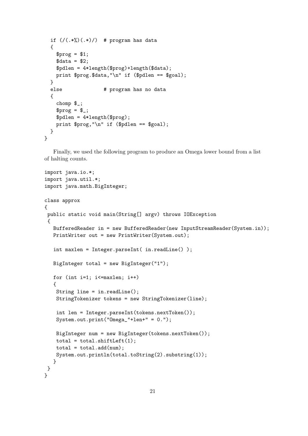```
if \left(\frac{1}{2}, \frac{1}{2}\right)(.*) # program has data
  {
    $prog = $1;\text{\$data = $2$};$pdlen = 4*length($prog)+length($data);
    print $prog.$data,"\n" if ($pdlen == $goal);
  }
  else \qquad # program has no data
  {
    chomp $_;
    $prog = $_.;$pdlen = 4*length($prog);print $prog,"\n" if ($pdlen == $goal);
  }
}
```
Finally, we used the following program to produce an Omega lower bound from a list of halting counts.

```
import java.io.*;
import java.util.*;
import java.math.BigInteger;
class approx
{
public static void main(String[] argv) throws IOException
 \mathcal{A}BufferedReader in = new BufferedReader(new InputStreamReader(System.in));
  PrintWriter out = new PrintWriter(System.out);
   int maxlen = Integer.parseInt( in.readLine() );
  BigInteger total = new BigInteger("1");
   for (int i=1; i<=maxlen; i++){
    String line = in.readLine();
    StringTokenizer tokens = new StringTokenizer(line);
    int len = Integer.parseInt(tokens.nextToken());
    System.out.print("Omega_"+len+" = 0.");
    BigInteger num = new BigInteger(tokens.nextToken());
    total = total.shiftLeft(1);total = total.add(num);
    System.out.println(total.toString(2).substring(1));
   }
}
}
```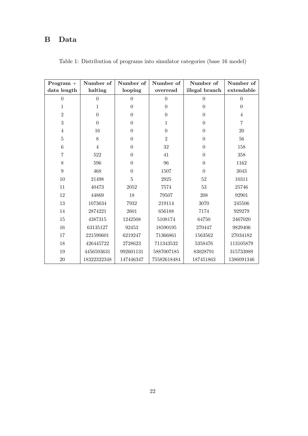# B Data

| $Program +$    | Number of      | Number of        | Number of        | Number of        | Number of      |
|----------------|----------------|------------------|------------------|------------------|----------------|
| data length    | halting        | looping          | overread         | illegal branch   | extendable     |
| $\theta$       | $\theta$       | $\Omega$         | $\overline{0}$   | $\boldsymbol{0}$ | $\theta$       |
| $\mathbf{1}$   | 1              | $\theta$         | $\overline{0}$   | $\overline{0}$   | $\overline{0}$ |
| $\sqrt{2}$     | $\overline{0}$ | $\theta$         | $\boldsymbol{0}$ | $\boldsymbol{0}$ | $\overline{4}$ |
| 3              | $\theta$       | $\boldsymbol{0}$ | $\mathbf 1$      | $\overline{0}$   | $\overline{7}$ |
| $\overline{4}$ | 16             | $\theta$         | $\overline{0}$   | $\overline{0}$   | 20             |
| 5              | 8              | $\theta$         | $\overline{2}$   | $\overline{0}$   | 56             |
| $\,6\,$        | $\overline{4}$ | $\theta$         | 32               | $\overline{0}$   | 158            |
| 7              | 522            | $\overline{0}$   | 41               | $\overline{0}$   | 358            |
| 8              | 596            | $\theta$         | 96               | $\overline{0}$   | 1162           |
| 9              | 468            | $\theta$         | 1507             | $\overline{0}$   | 3043           |
| 10             | 21498          | $\overline{5}$   | 2925             | 52               | 10311          |
| 11             | 40473          | 2052             | 7574             | 53               | 25746          |
| 12             | 44869          | 18               | 79507            | 208              | 92901          |
| $13\,$         | 1073634        | 7932             | 219114           | 3070             | 245506         |
| 14             | 2874221        | 2601             | 656188           | 7174             | 929279         |
| 15             | 4387315        | 1242508          | 5108174          | 64750            | 2467020        |
| 16             | 63135127       | 92453            | 18590195         | 270447           | 9829406        |
| 17             | 221590601      | 6219247          | 71366861         | 1563562          | 27034182       |
| 18             | 426445722      | 2728623          | 711343532        | 5358476          | 113105879      |
| 19             | 4456593631     | 992601131        | 5887007185       | 83028791         | 315733989      |
| 20             | 18322322348    | 147446347        | 75582618484      | 187451863        | 1386091346     |

Table 1: Distribution of programs into simulator categories (base 16 model)